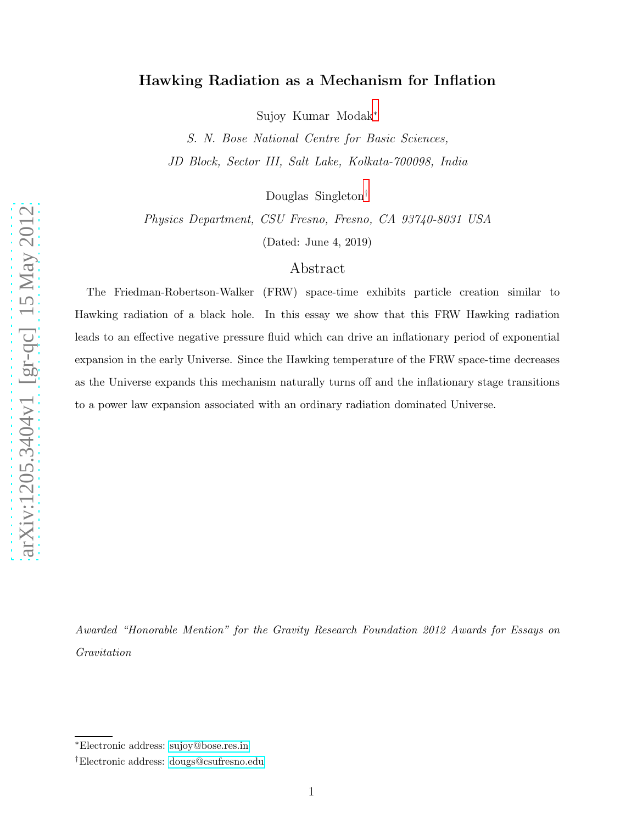## Hawking Radiation as a Mechanism for Inflation

Sujoy Kumar Modak [∗](#page-0-0)

S. N. Bose National Centre for Basic Sciences, JD Block, Sector III, Salt Lake, Kolkata-700098, India

Douglas Singleton [†](#page-0-1)

Physics Department, CSU Fresno, Fresno, CA 93740-8031 USA

(Dated: June 4, 2019)

## Abstract

The Friedman-Robertson-Walker (FRW) space-time exhibits particle creation similar to Hawking radiation of a black hole. In this essay we show that this FRW Hawking radiation leads to an effective negative pressure fluid which can drive an inflationary period of exponential expansion in the early Universe. Since the Hawking temperature of the FRW space-time decreases as the Universe expands this mechanism naturally turns off and the inflationary stage transitions to a power law expansion associated with an ordinary radiation dominated Universe.

Awarded "Honorable Mention" for the Gravity Research Foundation 2012 Awards for Essays on Gravitation

<span id="page-0-1"></span><span id="page-0-0"></span><sup>∗</sup>Electronic address: [sujoy@bose.res.in](mailto:sujoy@bose.res.in)

<sup>†</sup>Electronic address: [dougs@csufresno.edu](mailto:dougs@csufresno.edu)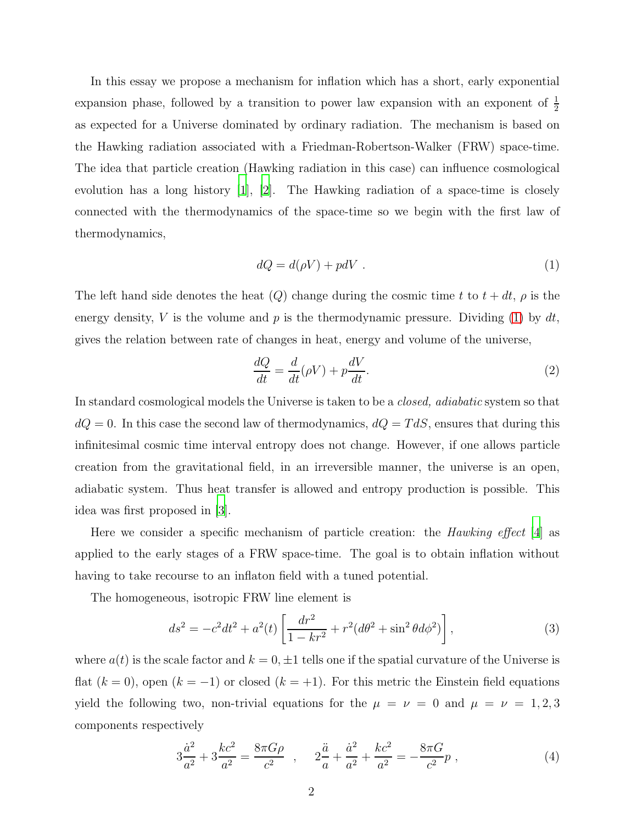In this essay we propose a mechanism for inflation which has a short, early exponential expansion phase, followed by a transition to power law expansion with an exponent of  $\frac{1}{2}$ as expected for a Universe dominated by ordinary radiation. The mechanism is based on the Hawking radiation associated with a Friedman-Robertson-Walker (FRW) space-time. The idea that particle creation (Hawking radiation in this case) can influence cosmological evolution has a long history [\[1\]](#page-5-0), [\[2\]](#page-5-1). The Hawking radiation of a space-time is closely connected with the thermodynamics of the space-time so we begin with the first law of thermodynamics,

<span id="page-1-0"></span>
$$
dQ = d(\rho V) + pdV \t\t(1)
$$

The left hand side denotes the heat  $(Q)$  change during the cosmic time t to  $t + dt$ ,  $\rho$  is the energy density, V is the volume and p is the thermodynamic pressure. Dividing [\(1\)](#page-1-0) by  $dt$ , gives the relation between rate of changes in heat, energy and volume of the universe,

<span id="page-1-2"></span>
$$
\frac{dQ}{dt} = \frac{d}{dt}(\rho V) + p\frac{dV}{dt}.\tag{2}
$$

In standard cosmological models the Universe is taken to be a *closed, adiabatic* system so that  $dQ = 0$ . In this case the second law of thermodynamics,  $dQ = T dS$ , ensures that during this infinitesimal cosmic time interval entropy does not change. However, if one allows particle creation from the gravitational field, in an irreversible manner, the universe is an open, adiabatic system. Thus heat transfer is allowed and entropy production is possible. This idea was first proposed in [\[3\]](#page-5-2).

Here we consider a specific mechanism of particle creation: the Hawking effect [\[4](#page-5-3)] as applied to the early stages of a FRW space-time. The goal is to obtain inflation without having to take recourse to an inflaton field with a tuned potential.

The homogeneous, isotropic FRW line element is

<span id="page-1-1"></span>
$$
ds^{2} = -c^{2}dt^{2} + a^{2}(t)\left[\frac{dr^{2}}{1 - kr^{2}} + r^{2}(d\theta^{2} + \sin^{2}\theta d\phi^{2})\right],
$$
\n(3)

where  $a(t)$  is the scale factor and  $k = 0, \pm 1$  tells one if the spatial curvature of the Universe is flat  $(k = 0)$ , open  $(k = -1)$  or closed  $(k = +1)$ . For this metric the Einstein field equations yield the following two, non-trivial equations for the  $\mu = \nu = 0$  and  $\mu = \nu = 1, 2, 3$ components respectively

<span id="page-1-3"></span>
$$
3\frac{\dot{a}^2}{a^2} + 3\frac{kc^2}{a^2} = \frac{8\pi G\rho}{c^2} \quad , \quad 2\frac{\ddot{a}}{a} + \frac{\dot{a}^2}{a^2} + \frac{kc^2}{a^2} = -\frac{8\pi G}{c^2}p \quad , \tag{4}
$$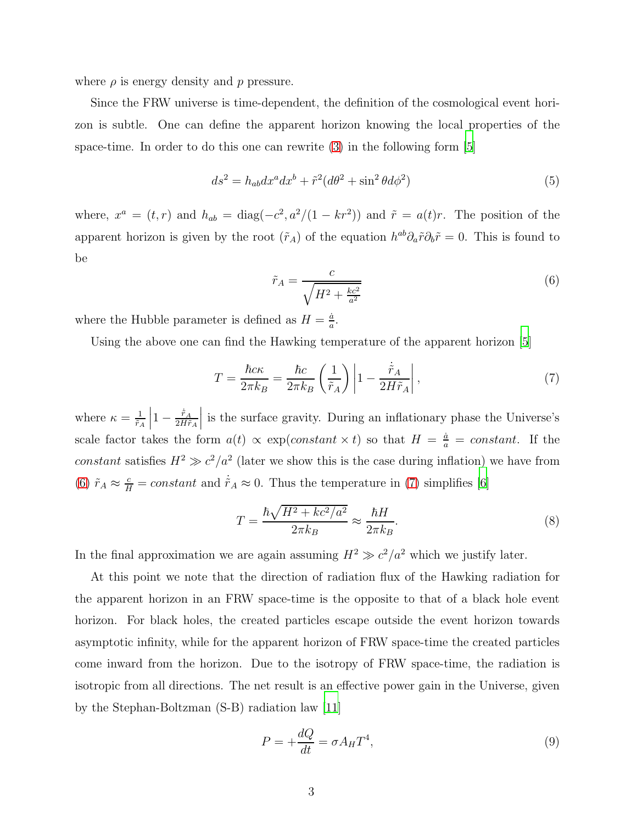where  $\rho$  is energy density and p pressure.

Since the FRW universe is time-dependent, the definition of the cosmological event horizon is subtle. One can define the apparent horizon knowing the local properties of the space-time. In order to do this one can rewrite  $(3)$  in the following form  $|5|$ 

$$
ds^2 = h_{ab}dx^a dx^b + \tilde{r}^2(d\theta^2 + \sin^2\theta d\phi^2)
$$
\n<sup>(5)</sup>

where,  $x^a = (t, r)$  and  $h_{ab} = \text{diag}(-c^2, a^2/(1 - kr^2))$  and  $\tilde{r} = a(t)r$ . The position of the apparent horizon is given by the root  $(\tilde{r}_A)$  of the equation  $h^{ab}\partial_a \tilde{r}\partial_b \tilde{r} = 0$ . This is found to be

<span id="page-2-0"></span>
$$
\tilde{r}_A = \frac{c}{\sqrt{H^2 + \frac{kc^2}{a^2}}} \tag{6}
$$

where the Hubble parameter is defined as  $H = \frac{\dot{a}}{a}$  $\frac{a}{a}$ .

Using the above one can find the Hawking temperature of the apparent horizon [\[5](#page-5-4)]

<span id="page-2-1"></span>
$$
T = \frac{\hbar c \kappa}{2\pi k_B} = \frac{\hbar c}{2\pi k_B} \left(\frac{1}{\tilde{r}_A}\right) \left|1 - \frac{\dot{\tilde{r}}_A}{2H\tilde{r}_A}\right|,\tag{7}
$$

where  $\kappa = \frac{1}{\tilde{r}}$  $\tilde{r}_A$  $\begin{array}{c} \begin{array}{c} \begin{array}{c} \end{array}\\ \begin{array}{c} \end{array} \end{array} \end{array}$  $1-\frac{\dot{\tilde{r}}_A}{2H\tilde{r}}$  $2H\tilde{r}_A$    is the surface gravity. During an inflationary phase the Universe's scale factor takes the form  $a(t) \propto \exp(constant \times t)$  so that  $H = \frac{\dot{a}}{a} = constant$ . If the constant satisfies  $H^2 \gg c^2/a^2$  (later we show this is the case during inflation) we have from [\(6\)](#page-2-0)  $\tilde{r}_A \approx \frac{c}{H} = constant$  and  $\dot{\tilde{r}}_A \approx 0$ . Thus the temperature in [\(7\)](#page-2-1) simplifies [\[6\]](#page-5-5)

<span id="page-2-3"></span>
$$
T = \frac{\hbar\sqrt{H^2 + kc^2/a^2}}{2\pi k_B} \approx \frac{\hbar H}{2\pi k_B}.
$$
\n(8)

In the final approximation we are again assuming  $H^2 \gg c^2/a^2$  which we justify later.

At this point we note that the direction of radiation flux of the Hawking radiation for the apparent horizon in an FRW space-time is the opposite to that of a black hole event horizon. For black holes, the created particles escape outside the event horizon towards asymptotic infinity, while for the apparent horizon of FRW space-time the created particles come inward from the horizon. Due to the isotropy of FRW space-time, the radiation is isotropic from all directions. The net result is an effective power gain in the Universe, given by the Stephan-Boltzman (S-B) radiation law [\[11\]](#page-5-6)

<span id="page-2-2"></span>
$$
P = +\frac{dQ}{dt} = \sigma A_H T^4,\tag{9}
$$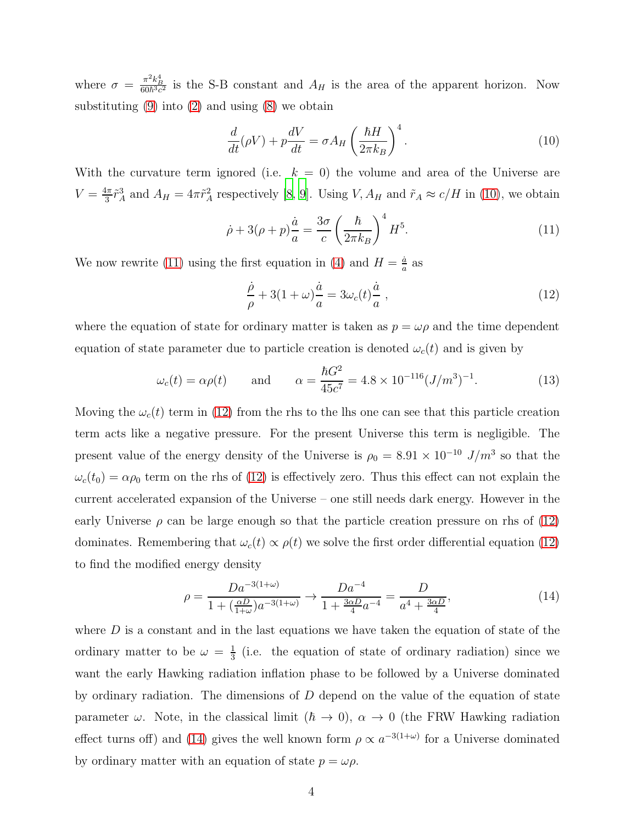where  $\sigma = \frac{\pi^2 k_B^4}{60\hbar^3 c^2}$  is the S-B constant and  $A_H$  is the area of the apparent horizon. Now substituting  $(9)$  into  $(2)$  and using  $(8)$  we obtain

<span id="page-3-0"></span>
$$
\frac{d}{dt}(\rho V) + p\frac{dV}{dt} = \sigma A_H \left(\frac{\hbar H}{2\pi k_B}\right)^4.
$$
\n(10)

With the curvature term ignored (i.e.  $k = 0$ ) the volume and area of the Universe are  $V=\frac{4\pi}{3}$  $\frac{4\pi}{3}\tilde{r}_A^3$  and  $A_H = 4\pi \tilde{r}_A^2$  respectively [\[8](#page-5-7), [9](#page-5-8)]. Using  $V, A_H$  and  $\tilde{r}_A \approx c/H$  in [\(10\)](#page-3-0), we obtain

<span id="page-3-1"></span>
$$
\dot{\rho} + 3(\rho + p)\frac{\dot{a}}{a} = \frac{3\sigma}{c} \left(\frac{\hbar}{2\pi k_B}\right)^4 H^5.
$$
\n(11)

We now rewrite [\(11\)](#page-3-1) using the first equation in [\(4\)](#page-1-3) and  $H = \frac{\dot{a}}{a}$  $\frac{a}{a}$  as

<span id="page-3-2"></span>
$$
\frac{\dot{\rho}}{\rho} + 3(1+\omega)\frac{\dot{a}}{a} = 3\omega_c(t)\frac{\dot{a}}{a},\qquad(12)
$$

where the equation of state for ordinary matter is taken as  $p = \omega \rho$  and the time dependent equation of state parameter due to particle creation is denoted  $\omega_c(t)$  and is given by

$$
\omega_c(t) = \alpha \rho(t)
$$
 and  $\alpha = \frac{\hbar G^2}{45c^7} = 4.8 \times 10^{-116} (J/m^3)^{-1}.$  (13)

Moving the  $\omega_c(t)$  term in [\(12\)](#page-3-2) from the rhs to the lhs one can see that this particle creation term acts like a negative pressure. For the present Universe this term is negligible. The present value of the energy density of the Universe is  $\rho_0 = 8.91 \times 10^{-10}$  J/m<sup>3</sup> so that the  $\omega_c(t_0) = \alpha \rho_0$  term on the rhs of [\(12\)](#page-3-2) is effectively zero. Thus this effect can not explain the current accelerated expansion of the Universe – one still needs dark energy. However in the early Universe  $\rho$  can be large enough so that the particle creation pressure on rhs of [\(12\)](#page-3-2) dominates. Remembering that  $\omega_c(t) \propto \rho(t)$  we solve the first order differential equation [\(12\)](#page-3-2) to find the modified energy density

<span id="page-3-3"></span>
$$
\rho = \frac{Da^{-3(1+\omega)}}{1 + (\frac{\alpha D}{1+\omega})a^{-3(1+\omega)}} \to \frac{Da^{-4}}{1 + \frac{3\alpha D}{4}a^{-4}} = \frac{D}{a^4 + \frac{3\alpha D}{4}},\tag{14}
$$

where  $D$  is a constant and in the last equations we have taken the equation of state of the ordinary matter to be  $\omega = \frac{1}{3}$  $\frac{1}{3}$  (i.e. the equation of state of ordinary radiation) since we want the early Hawking radiation inflation phase to be followed by a Universe dominated by ordinary radiation. The dimensions of  $D$  depend on the value of the equation of state parameter  $\omega$ . Note, in the classical limit  $(h \to 0)$ ,  $\alpha \to 0$  (the FRW Hawking radiation effect turns of f) and [\(14\)](#page-3-3) gives the well known form  $\rho \propto a^{-3(1+\omega)}$  for a Universe dominated by ordinary matter with an equation of state  $p = \omega \rho$ .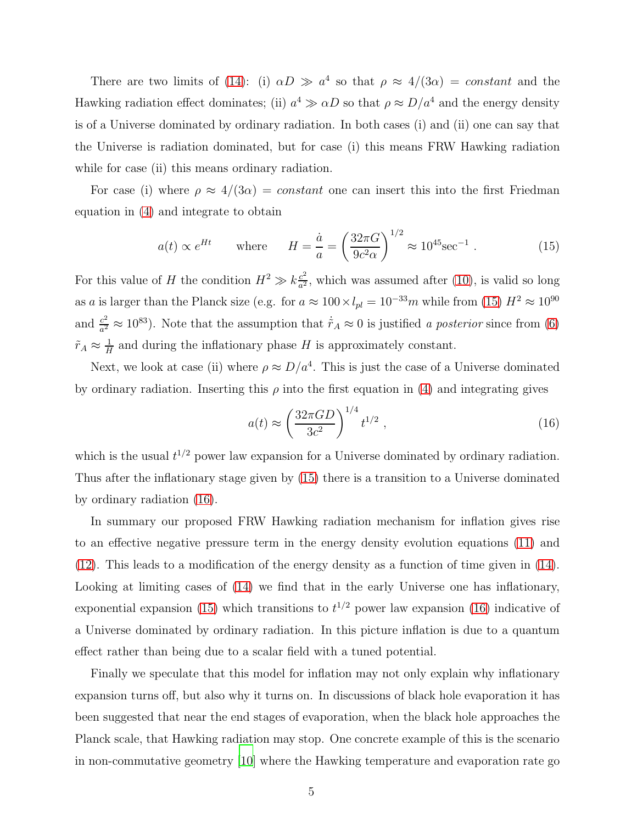There are two limits of [\(14\)](#page-3-3): (i)  $\alpha D \gg a^4$  so that  $\rho \approx 4/(3\alpha) = constant$  and the Hawking radiation effect dominates; (ii)  $a^4 \gg \alpha D$  so that  $\rho \approx D/a^4$  and the energy density is of a Universe dominated by ordinary radiation. In both cases (i) and (ii) one can say that the Universe is radiation dominated, but for case (i) this means FRW Hawking radiation while for case (ii) this means ordinary radiation.

For case (i) where  $\rho \approx 4/(3\alpha) = constant$  one can insert this into the first Friedman equation in [\(4\)](#page-1-3) and integrate to obtain

<span id="page-4-0"></span>
$$
a(t) \propto e^{Ht} \qquad \text{where} \qquad H = \frac{\dot{a}}{a} = \left(\frac{32\pi G}{9c^2\alpha}\right)^{1/2} \approx 10^{45} \text{sec}^{-1} \ . \tag{15}
$$

For this value of H the condition  $H^2 \gg k \frac{c^2}{a^2}$  $\frac{c^2}{a^2}$ , which was assumed after [\(10\)](#page-3-0), is valid so long as a is larger than the Planck size (e.g. for  $a \approx 100 \times l_{pl} = 10^{-33}m$  while from [\(15\)](#page-4-0)  $H^2 \approx 10^{90}$ and  $\frac{c^2}{a^2}$  $\frac{c^2}{a^2} \approx 10^{83}$ ). Note that the assumption that  $\dot{r}_A \approx 0$  is justified a posterior since from [\(6\)](#page-2-0)  $\tilde{r}_A \approx \frac{1}{H}$  $\frac{1}{H}$  and during the inflationary phase H is approximately constant.

Next, we look at case (ii) where  $\rho \approx D/a^4$ . This is just the case of a Universe dominated by ordinary radiation. Inserting this  $\rho$  into the first equation in [\(4\)](#page-1-3) and integrating gives

<span id="page-4-1"></span>
$$
a(t) \approx \left(\frac{32\pi GD}{3c^2}\right)^{1/4} t^{1/2} , \qquad (16)
$$

which is the usual  $t^{1/2}$  power law expansion for a Universe dominated by ordinary radiation. Thus after the inflationary stage given by [\(15\)](#page-4-0) there is a transition to a Universe dominated by ordinary radiation [\(16\)](#page-4-1).

In summary our proposed FRW Hawking radiation mechanism for inflation gives rise to an effective negative pressure term in the energy density evolution equations [\(11\)](#page-3-1) and [\(12\)](#page-3-2). This leads to a modification of the energy density as a function of time given in [\(14\)](#page-3-3). Looking at limiting cases of [\(14\)](#page-3-3) we find that in the early Universe one has inflationary, exponential expansion [\(15\)](#page-4-0) which transitions to  $t^{1/2}$  power law expansion [\(16\)](#page-4-1) indicative of a Universe dominated by ordinary radiation. In this picture inflation is due to a quantum effect rather than being due to a scalar field with a tuned potential.

Finally we speculate that this model for inflation may not only explain why inflationary expansion turns off, but also why it turns on. In discussions of black hole evaporation it has been suggested that near the end stages of evaporation, when the black hole approaches the Planck scale, that Hawking radiation may stop. One concrete example of this is the scenario in non-commutative geometry [\[10](#page-5-9)] where the Hawking temperature and evaporation rate go